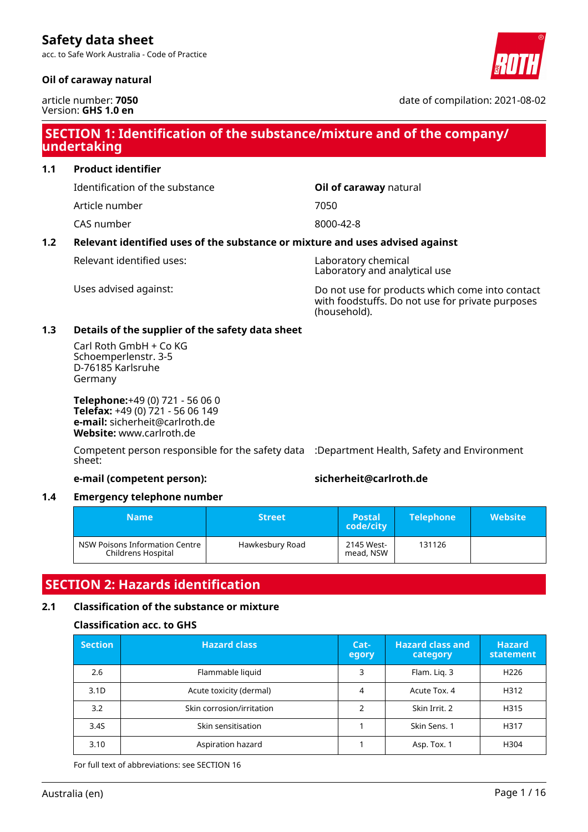acc. to Safe Work Australia - Code of Practice

### **Oil of caraway natural**

article number: **7050** Version: **GHS 1.0 en**

date of compilation: 2021-08-02

## **SECTION 1: Identification of the substance/mixture and of the company/ undertaking**

**1.1 Product identifier**

Identification of the substance **Oil of caraway** natural

Article number 7050

CAS number 8000-42-8

### **1.2 Relevant identified uses of the substance or mixture and uses advised against**

Relevant identified uses: Laboratory chemical

Laboratory and analytical use

Uses advised against: Do not use for products which come into contact with foodstuffs. Do not use for private purposes (household).

### **1.3 Details of the supplier of the safety data sheet**

Carl Roth GmbH + Co KG Schoemperlenstr. 3-5 D-76185 Karlsruhe Germany

**Telephone:**+49 (0) 721 - 56 06 0 **Telefax:** +49 (0) 721 - 56 06 149 **e-mail:** sicherheit@carlroth.de **Website:** www.carlroth.de

Competent person responsible for the safety data :Department Health, Safety and Environment sheet:

### **e-mail (competent person): sicherheit@carlroth.de**

### **1.4 Emergency telephone number**

| <b>Name</b>                                          | <b>Street</b>   | <b>Postal</b><br>code/city | <b>Telephone</b> | <b>Website</b> |
|------------------------------------------------------|-----------------|----------------------------|------------------|----------------|
| NSW Poisons Information Centre<br>Childrens Hospital | Hawkesbury Road | 2145 West-<br>mead, NSW    | 131126           |                |

## **SECTION 2: Hazards identification**

### **2.1 Classification of the substance or mixture**

### **Classification acc. to GHS**

| <b>Section</b>   | <b>Hazard class</b>       | Cat-<br>egory | <b>Hazard class and</b><br>category | <b>Hazard</b><br>statement |
|------------------|---------------------------|---------------|-------------------------------------|----------------------------|
| 2.6              | Flammable liquid          | 3             | Flam. Lig. 3                        | H <sub>226</sub>           |
| 3.1 <sub>D</sub> | Acute toxicity (dermal)   | 4             | Acute Tox, 4                        | H312                       |
| 3.2              | Skin corrosion/irritation |               | Skin Irrit. 2                       | H315                       |
| 3.4S             | Skin sensitisation        |               | Skin Sens. 1                        | H317                       |
| 3.10             | Aspiration hazard         |               | Asp. Tox. 1                         | H304                       |

For full text of abbreviations: see SECTION 16

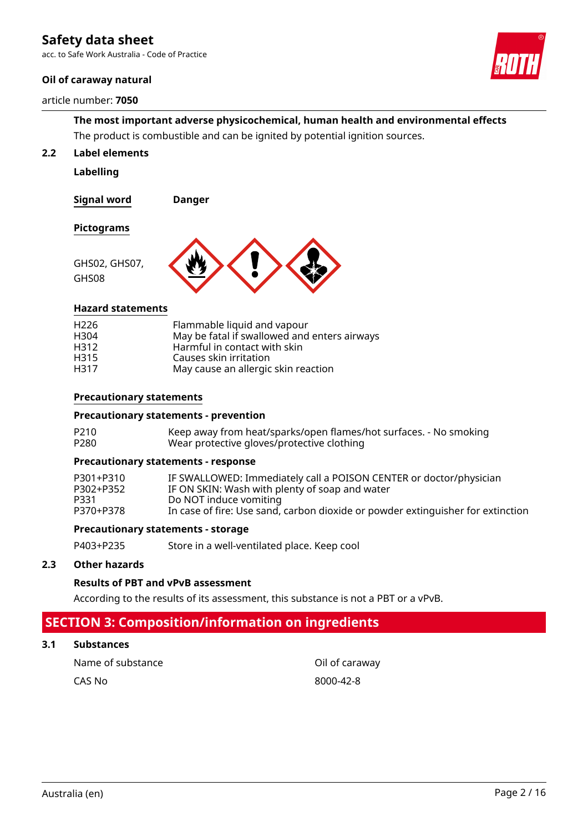acc. to Safe Work Australia - Code of Practice

### **Oil of caraway natural**

#### article number: **7050**



**The most important adverse physicochemical, human health and environmental effects** The product is combustible and can be ignited by potential ignition sources.

**2.2 Label elements**

**Labelling**

**Signal word Danger**

#### **Pictograms**

GHS08



### **Hazard statements**

| H <sub>226</sub><br>H304 | Flammable liquid and vapour<br>May be fatal if swallowed and enters airways |
|--------------------------|-----------------------------------------------------------------------------|
| H312                     | Harmful in contact with skin                                                |
| H315                     | Causes skin irritation                                                      |
| H317                     | May cause an allergic skin reaction                                         |

### **Precautionary statements**

### **Precautionary statements - prevention**

| P210 | Keep away from heat/sparks/open flames/hot surfaces. - No smoking |
|------|-------------------------------------------------------------------|
| P280 | Wear protective gloves/protective clothing                        |

#### **Precautionary statements - response**

| P301+P310 | IF SWALLOWED: Immediately call a POISON CENTER or doctor/physician              |
|-----------|---------------------------------------------------------------------------------|
| P302+P352 | IF ON SKIN: Wash with plenty of soap and water                                  |
| P331.     | Do NOT induce vomiting                                                          |
| P370+P378 | In case of fire: Use sand, carbon dioxide or powder extinguisher for extinction |

#### **Precautionary statements - storage**

P403+P235 Store in a well-ventilated place. Keep cool

#### **2.3 Other hazards**

#### **Results of PBT and vPvB assessment**

According to the results of its assessment, this substance is not a PBT or a vPvB.

## **SECTION 3: Composition/information on ingredients**

### **3.1 Substances**

| Name of substance |  |
|-------------------|--|
| CAS No            |  |

Oil of caraway 8000-42-8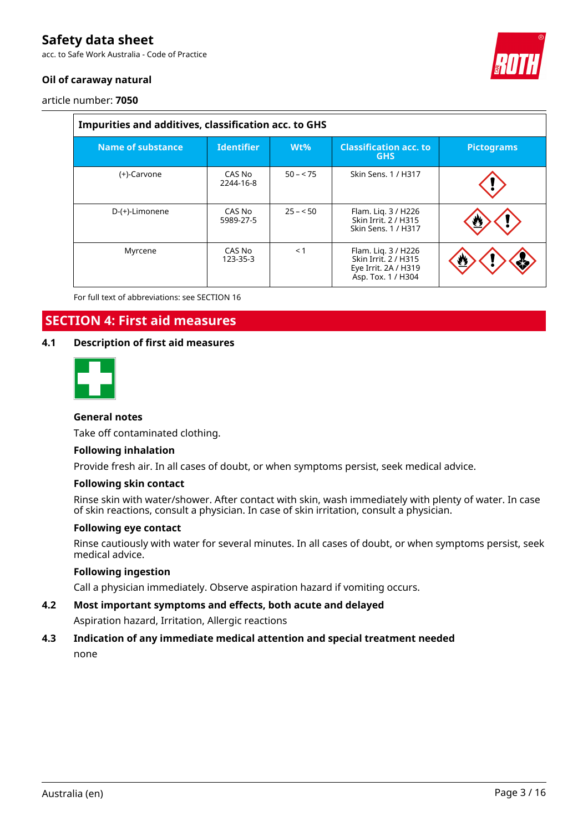acc. to Safe Work Australia - Code of Practice



### **Oil of caraway natural**

article number: **7050**

| Impurities and additives, classification acc. to GHS |                     |           |                                                                                           |                   |  |  |  |  |
|------------------------------------------------------|---------------------|-----------|-------------------------------------------------------------------------------------------|-------------------|--|--|--|--|
| Name of substance                                    | <b>Identifier</b>   | $Wt\%$    | <b>Classification acc. to</b><br><b>GHS</b>                                               | <b>Pictograms</b> |  |  |  |  |
| (+)-Carvone                                          | CAS No<br>2244-16-8 | $50 - 75$ | Skin Sens, 1 / H317                                                                       |                   |  |  |  |  |
| D-(+)-Limonene                                       | CAS No<br>5989-27-5 | $25 - 50$ | Flam. Lig. 3 / H226<br>Skin Irrit. 2 / H315<br>Skin Sens, 1 / H317                        |                   |  |  |  |  |
| Myrcene                                              | CAS No<br>123-35-3  | < 1       | Flam. Liq. 3 / H226<br>Skin Irrit. 2 / H315<br>Eye Irrit. 2A / H319<br>Asp. Tox. 1 / H304 | おり                |  |  |  |  |

For full text of abbreviations: see SECTION 16

## **SECTION 4: First aid measures**

### **4.1 Description of first aid measures**



### **General notes**

Take off contaminated clothing.

#### **Following inhalation**

Provide fresh air. In all cases of doubt, or when symptoms persist, seek medical advice.

#### **Following skin contact**

Rinse skin with water/shower. After contact with skin, wash immediately with plenty of water. In case of skin reactions, consult a physician. In case of skin irritation, consult a physician.

#### **Following eye contact**

Rinse cautiously with water for several minutes. In all cases of doubt, or when symptoms persist, seek medical advice.

### **Following ingestion**

Call a physician immediately. Observe aspiration hazard if vomiting occurs.

### **4.2 Most important symptoms and effects, both acute and delayed**

Aspiration hazard, Irritation, Allergic reactions

### **4.3 Indication of any immediate medical attention and special treatment needed**

none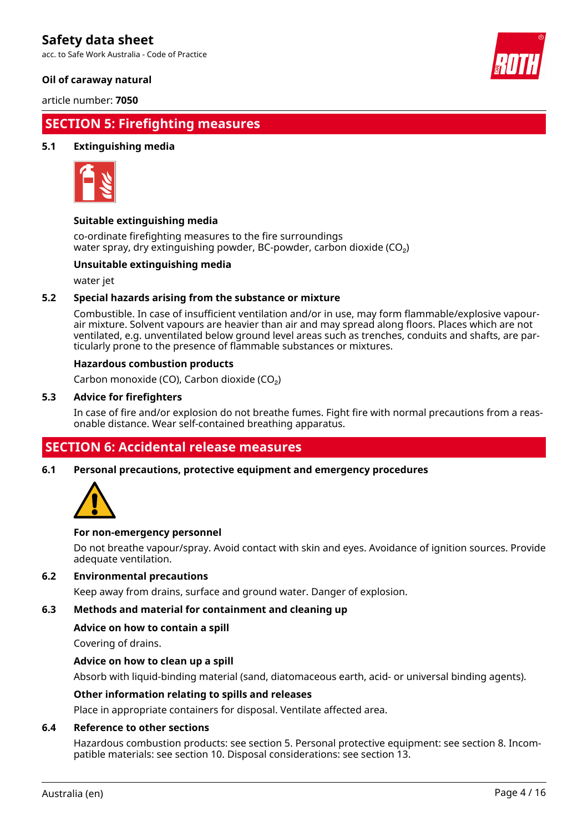acc. to Safe Work Australia - Code of Practice

### **Oil of caraway natural**

article number: **7050**

## **SECTION 5: Firefighting measures**

### **5.1 Extinguishing media**



### **Suitable extinguishing media**

co-ordinate firefighting measures to the fire surroundings water spray, dry extinguishing powder, BC-powder, carbon dioxide (CO<sub>2</sub>)

### **Unsuitable extinguishing media**

water jet

### **5.2 Special hazards arising from the substance or mixture**

Combustible. In case of insufficient ventilation and/or in use, may form flammable/explosive vapourair mixture. Solvent vapours are heavier than air and may spread along floors. Places which are not ventilated, e.g. unventilated below ground level areas such as trenches, conduits and shafts, are particularly prone to the presence of flammable substances or mixtures.

#### **Hazardous combustion products**

Carbon monoxide (CO), Carbon dioxide (CO₂)

#### **5.3 Advice for firefighters**

In case of fire and/or explosion do not breathe fumes. Fight fire with normal precautions from a reasonable distance. Wear self-contained breathing apparatus.

### **SECTION 6: Accidental release measures**

**6.1 Personal precautions, protective equipment and emergency procedures**



### **For non-emergency personnel**

Do not breathe vapour/spray. Avoid contact with skin and eyes. Avoidance of ignition sources. Provide adequate ventilation.

### **6.2 Environmental precautions**

Keep away from drains, surface and ground water. Danger of explosion.

### **6.3 Methods and material for containment and cleaning up**

### **Advice on how to contain a spill**

Covering of drains.

### **Advice on how to clean up a spill**

Absorb with liquid-binding material (sand, diatomaceous earth, acid- or universal binding agents).

#### **Other information relating to spills and releases**

Place in appropriate containers for disposal. Ventilate affected area.

#### **6.4 Reference to other sections**

Hazardous combustion products: see section 5. Personal protective equipment: see section 8. Incompatible materials: see section 10. Disposal considerations: see section 13.

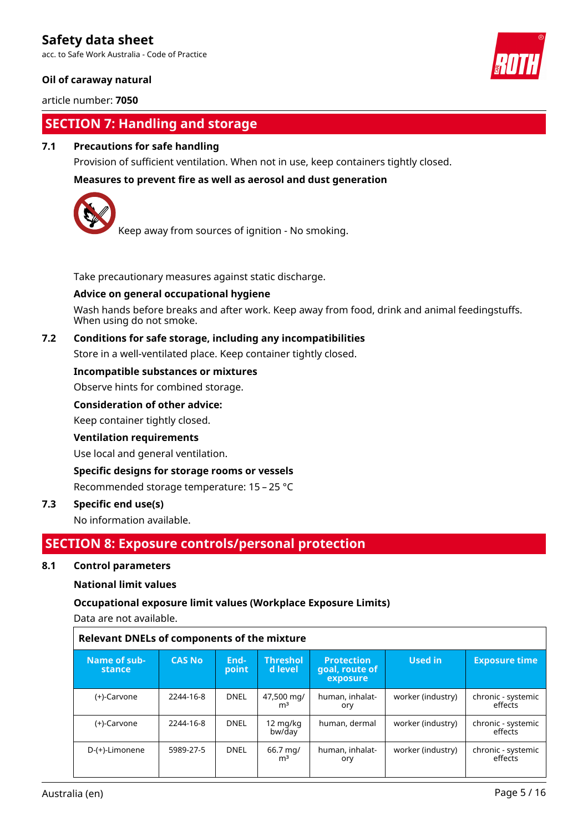acc. to Safe Work Australia - Code of Practice

### **Oil of caraway natural**

article number: **7050**

## **SECTION 7: Handling and storage**

### **7.1 Precautions for safe handling**

Provision of sufficient ventilation. When not in use, keep containers tightly closed.

### **Measures to prevent fire as well as aerosol and dust generation**



Keep away from sources of ignition - No smoking.

Take precautionary measures against static discharge.

### **Advice on general occupational hygiene**

Wash hands before breaks and after work. Keep away from food, drink and animal feedingstuffs. When using do not smoke.

### **7.2 Conditions for safe storage, including any incompatibilities**

Store in a well-ventilated place. Keep container tightly closed.

### **Incompatible substances or mixtures**

Observe hints for combined storage.

### **Consideration of other advice:**

Keep container tightly closed.

### **Ventilation requirements**

Use local and general ventilation.

### **Specific designs for storage rooms or vessels**

Recommended storage temperature: 15 – 25 °C

### **7.3 Specific end use(s)**

No information available.

### **SECTION 8: Exposure controls/personal protection**

### **8.1 Control parameters**

### **National limit values**

### **Occupational exposure limit values (Workplace Exposure Limits)**

Data are not available.

| <b>Relevant DNELs of components of the mixture</b> |               |               |                              |                                                 |                   |                               |  |
|----------------------------------------------------|---------------|---------------|------------------------------|-------------------------------------------------|-------------------|-------------------------------|--|
| Name of sub-<br>stance                             | <b>CAS No</b> | End-<br>point | <b>Threshol</b><br>d level   | <b>Protection</b><br>goal, route of<br>exposure | Used in           | <b>Exposure time</b>          |  |
| (+)-Carvone                                        | 2244-16-8     | <b>DNEL</b>   | 47,500 mg/<br>m <sup>3</sup> | human, inhalat-<br>ory                          | worker (industry) | chronic - systemic<br>effects |  |
| (+)-Carvone                                        | 2244-16-8     | <b>DNEL</b>   | 12 mg/kg<br>bw/day           | human, dermal                                   | worker (industry) | chronic - systemic<br>effects |  |
| D-(+)-Limonene                                     | 5989-27-5     | <b>DNEL</b>   | 66.7 mg/<br>m <sup>3</sup>   | human, inhalat-<br>ory                          | worker (industry) | chronic - systemic<br>effects |  |

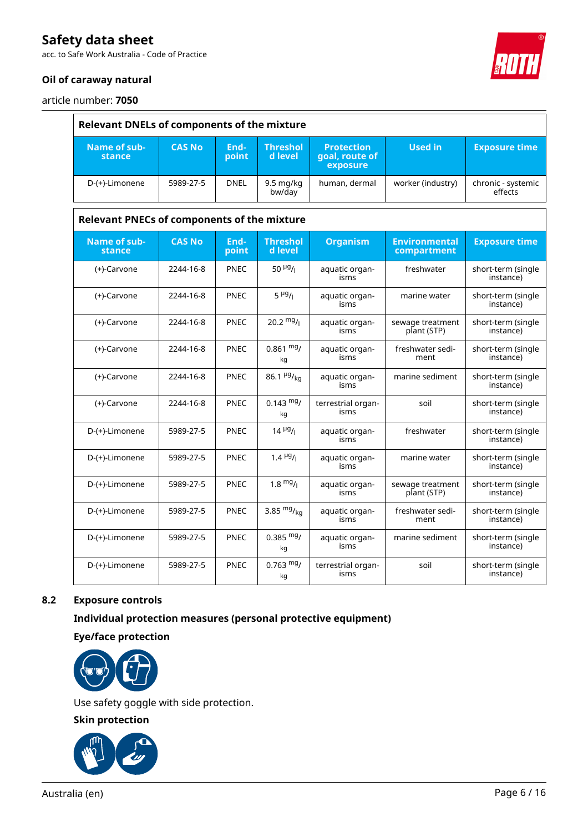acc. to Safe Work Australia - Code of Practice

### **Oil of caraway natural**



article number: **7050**

|                                                    | <b>Relevant DNELs of components of the mixture</b> |               |                                       |                                                 |                                     |                                 |  |  |
|----------------------------------------------------|----------------------------------------------------|---------------|---------------------------------------|-------------------------------------------------|-------------------------------------|---------------------------------|--|--|
| Name of sub-<br>stance                             | <b>CAS No</b>                                      | End-<br>point | <b>Threshol</b><br>d level            | <b>Protection</b><br>goal, route of<br>exposure | <b>Used in</b>                      | <b>Exposure time</b>            |  |  |
| D-(+)-Limonene                                     | 5989-27-5                                          | <b>DNEL</b>   | $9.5 \,\mathrm{mq/kg}$<br>bw/day      | human, dermal                                   | worker (industry)                   | chronic - systemic<br>effects   |  |  |
| <b>Relevant PNECs of components of the mixture</b> |                                                    |               |                                       |                                                 |                                     |                                 |  |  |
| Name of sub-<br>stance                             | <b>CAS No</b>                                      | End-<br>point | <b>Threshol</b><br>d level            | <b>Organism</b>                                 | <b>Environmental</b><br>compartment | <b>Exposure time</b>            |  |  |
| (+)-Carvone                                        | 2244-16-8                                          | PNEC          | 50 $\mu$ g/ <sub>1</sub>              | aquatic organ-<br>isms                          | freshwater                          | short-term (single<br>instance) |  |  |
| (+)-Carvone                                        | 2244-16-8                                          | <b>PNEC</b>   | $5 \frac{\mu g}{I}$                   | aquatic organ-<br>isms                          | marine water                        | short-term (single<br>instance) |  |  |
| (+)-Carvone                                        | 2244-16-8                                          | PNEC          | 20.2 $mg/$                            | aquatic organ-<br>isms                          | sewage treatment<br>plant (STP)     | short-term (single<br>instance) |  |  |
| (+)-Carvone                                        | 2244-16-8                                          | <b>PNEC</b>   | $0.861$ mg/<br>kg                     | aquatic organ-<br>isms                          | freshwater sedi-<br>ment            | short-term (single<br>instance) |  |  |
| (+)-Carvone                                        | 2244-16-8                                          | <b>PNEC</b>   | 86.1 $\frac{\mu g}{kq}$               | aquatic organ-<br>isms                          | marine sediment                     | short-term (single<br>instance) |  |  |
| (+)-Carvone                                        | 2244-16-8                                          | <b>PNEC</b>   | $0.143 \text{ mg}$<br>kg              | terrestrial organ-<br>isms                      | soil                                | short-term (single<br>instance) |  |  |
| D-(+)-Limonene                                     | 5989-27-5                                          | <b>PNEC</b>   | $14 \frac{\mu g}{I}$                  | aquatic organ-<br>isms                          | freshwater                          | short-term (single<br>instance) |  |  |
| D-(+)-Limonene                                     | 5989-27-5                                          | <b>PNEC</b>   | 1.4 $\mu$ <sup>g</sup> / <sub>1</sub> | aquatic organ-<br>isms                          | marine water                        | short-term (single<br>instance) |  |  |
| D-(+)-Limonene                                     | 5989-27-5                                          | <b>PNEC</b>   | $1.8 \frac{mg}{l}$                    | aquatic organ-<br>isms                          | sewage treatment<br>plant (STP)     | short-term (single<br>instance) |  |  |
| D-(+)-Limonene                                     | 5989-27-5                                          | <b>PNEC</b>   | 3.85 $mg/kq$                          | aquatic organ-<br>isms                          | freshwater sedi-<br>ment            | short-term (single<br>instance) |  |  |
| D-(+)-Limonene                                     | 5989-27-5                                          | PNEC          | $0.385 \text{ mg}$<br>kg              | aquatic organ-<br>isms                          | marine sediment                     | short-term (single<br>instance) |  |  |
| D-(+)-Limonene                                     | 5989-27-5                                          | <b>PNEC</b>   | $0.763$ mg/<br>kg                     | terrestrial organ-<br>isms                      | soil                                | short-term (single<br>instance) |  |  |

### **8.2 Exposure controls**

**Individual protection measures (personal protective equipment)**

**Eye/face protection**



Use safety goggle with side protection.

**Skin protection**

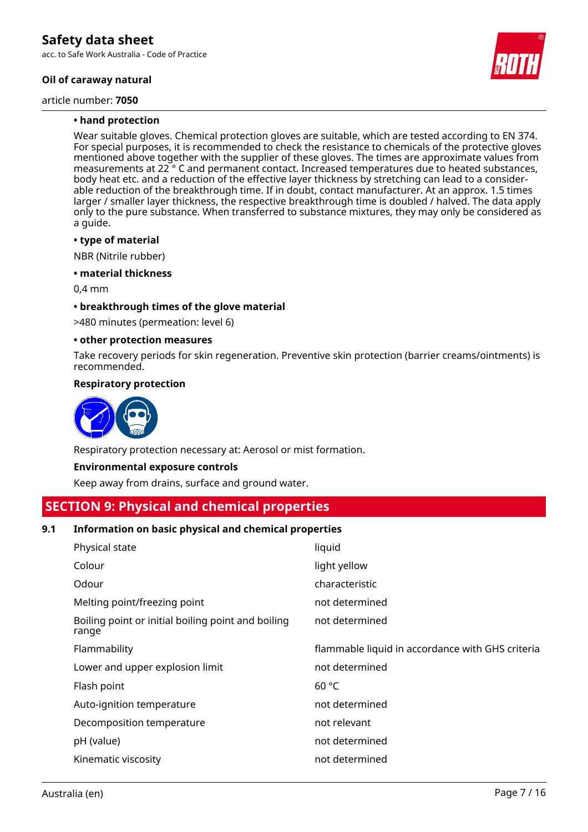acc. to Safe Work Australia - Code of Practice

### **Oil of caraway natural**

article number: **7050**



### **• hand protection**

Wear suitable gloves. Chemical protection gloves are suitable, which are tested according to EN 374. For special purposes, it is recommended to check the resistance to chemicals of the protective gloves mentioned above together with the supplier of these gloves. The times are approximate values from measurements at 22 ° C and permanent contact. Increased temperatures due to heated substances, body heat etc. and a reduction of the effective layer thickness by stretching can lead to a considerable reduction of the breakthrough time. If in doubt, contact manufacturer. At an approx. 1.5 times larger / smaller layer thickness, the respective breakthrough time is doubled / halved. The data apply only to the pure substance. When transferred to substance mixtures, they may only be considered as a guide.

#### **• type of material**

NBR (Nitrile rubber)

**• material thickness**

0,4 mm

### **• breakthrough times of the glove material**

>480 minutes (permeation: level 6)

#### **• other protection measures**

Take recovery periods for skin regeneration. Preventive skin protection (barrier creams/ointments) is recommended.

### **Respiratory protection**



Respiratory protection necessary at: Aerosol or mist formation.

### **Environmental exposure controls**

Keep away from drains, surface and ground water.

## **SECTION 9: Physical and chemical properties**

### **9.1 Information on basic physical and chemical properties**

| Physical state                                              | liquid                                           |
|-------------------------------------------------------------|--------------------------------------------------|
| Colour                                                      | light yellow                                     |
| Odour                                                       | characteristic                                   |
| Melting point/freezing point                                | not determined                                   |
| Boiling point or initial boiling point and boiling<br>range | not determined                                   |
| Flammability                                                | flammable liquid in accordance with GHS criteria |
| Lower and upper explosion limit                             | not determined                                   |
| Flash point                                                 | 60 °C                                            |
| Auto-ignition temperature                                   | not determined                                   |
| Decomposition temperature                                   | not relevant                                     |
| pH (value)                                                  | not determined                                   |
| Kinematic viscosity                                         | not determined                                   |
|                                                             |                                                  |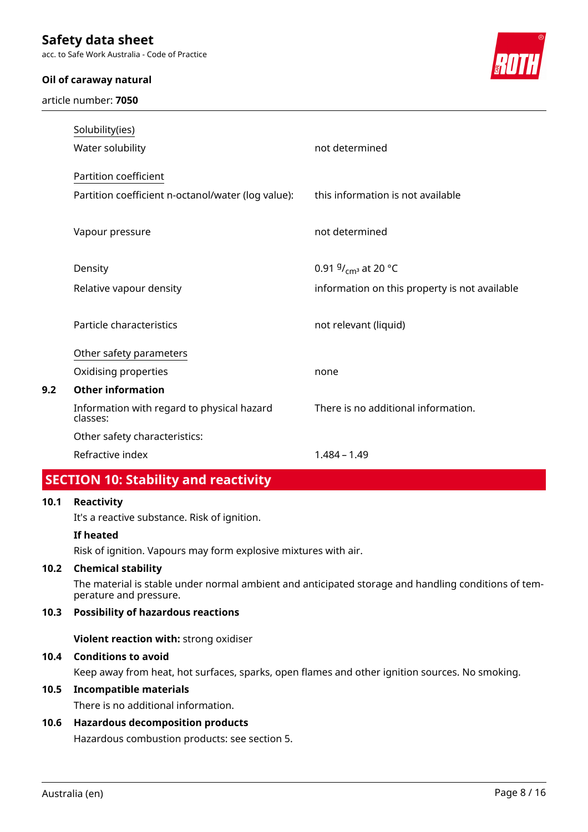acc. to Safe Work Australia - Code of Practice

### **Oil of caraway natural**

article number: **7050**



| Solubility(ies)<br>Water solubility                    | not determined                                |
|--------------------------------------------------------|-----------------------------------------------|
| Partition coefficient                                  |                                               |
| Partition coefficient n-octanol/water (log value):     | this information is not available             |
| Vapour pressure                                        | not determined                                |
| Density                                                | 0.91 $9/_{\text{cm}^3}$ at 20 °C              |
| Relative vapour density                                | information on this property is not available |
| Particle characteristics                               | not relevant (liquid)                         |
| Other safety parameters                                |                                               |
| Oxidising properties                                   | none                                          |
| <b>Other information</b>                               |                                               |
| Information with regard to physical hazard<br>classes: | There is no additional information.           |
| Other safety characteristics:                          |                                               |
| Refractive index                                       | $1.484 - 1.49$                                |

## **SECTION 10: Stability and reactivity**

### **10.1 Reactivity**

**9.2 Other information**

It's a reactive substance. Risk of ignition.

### **If heated**

Risk of ignition. Vapours may form explosive mixtures with air.

### **10.2 Chemical stability**

The material is stable under normal ambient and anticipated storage and handling conditions of temperature and pressure.

### **10.3 Possibility of hazardous reactions**

**Violent reaction with:** strong oxidiser

### **10.4 Conditions to avoid**

Keep away from heat, hot surfaces, sparks, open flames and other ignition sources. No smoking.

### **10.5 Incompatible materials**

There is no additional information.

### **10.6 Hazardous decomposition products**

Hazardous combustion products: see section 5.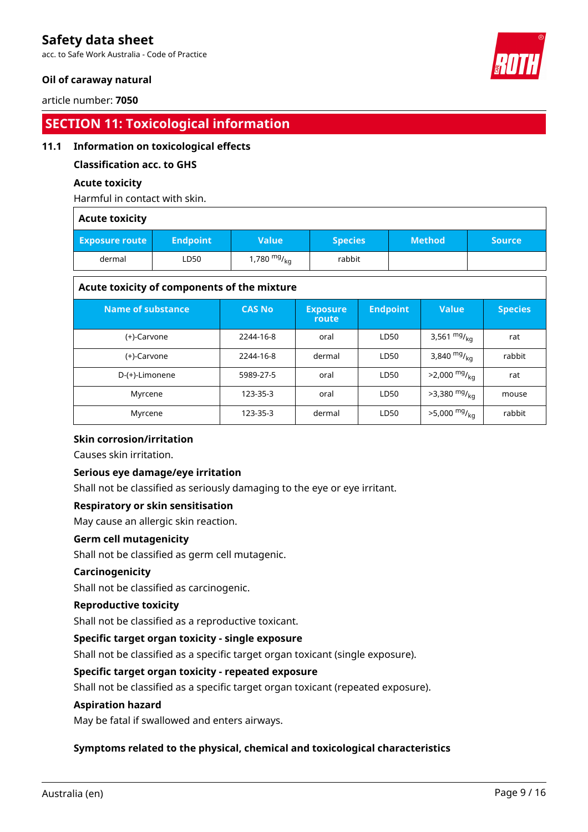acc. to Safe Work Australia - Code of Practice

### **Oil of caraway natural**

article number: **7050**

## **SECTION 11: Toxicological information**

### **11.1 Information on toxicological effects**

### **Classification acc. to GHS**

### **Acute toxicity**

Harmful in contact with skin.

### **Acute toxicity**

| <b>Exposure route</b> | <b>Endpoint</b> | <b>Value</b>     | <b>Species</b> | <b>Method</b> | <b>Source</b> ' |
|-----------------------|-----------------|------------------|----------------|---------------|-----------------|
| dermal                | LD50            | 1,780 $mg/_{kq}$ | rabbit         |               |                 |

### **Acute toxicity of components of the mixture**

| <b>Name of substance</b> | <b>CAS No</b> | <b>Exposure</b><br>route | <b>Endpoint</b> | <b>Value</b>               | <b>Species</b> |
|--------------------------|---------------|--------------------------|-----------------|----------------------------|----------------|
| (+)-Carvone              | 2244-16-8     | oral                     | LD50            | 3,561 $mg/_{kq}$           | rat            |
| (+)-Carvone              | 2244-16-8     | dermal                   | LD50            | 3,840 $mg/_{ka}$           | rabbit         |
| D-(+)-Limonene           | 5989-27-5     | oral                     | LD50            | $>2,000$ mg/ <sub>ka</sub> | rat            |
| Myrcene                  | 123-35-3      | oral                     | LD50            | $>3,380$ mg/ <sub>kg</sub> | mouse          |
| Myrcene                  | 123-35-3      | dermal                   | LD50            | $>5,000 \frac{mg}{kg}$     | rabbit         |

### **Skin corrosion/irritation**

Causes skin irritation.

### **Serious eye damage/eye irritation**

Shall not be classified as seriously damaging to the eye or eye irritant.

### **Respiratory or skin sensitisation**

May cause an allergic skin reaction.

### **Germ cell mutagenicity**

Shall not be classified as germ cell mutagenic.

### **Carcinogenicity**

Shall not be classified as carcinogenic.

### **Reproductive toxicity**

Shall not be classified as a reproductive toxicant.

### **Specific target organ toxicity - single exposure**

Shall not be classified as a specific target organ toxicant (single exposure).

### **Specific target organ toxicity - repeated exposure**

Shall not be classified as a specific target organ toxicant (repeated exposure).

### **Aspiration hazard**

May be fatal if swallowed and enters airways.

### **Symptoms related to the physical, chemical and toxicological characteristics**

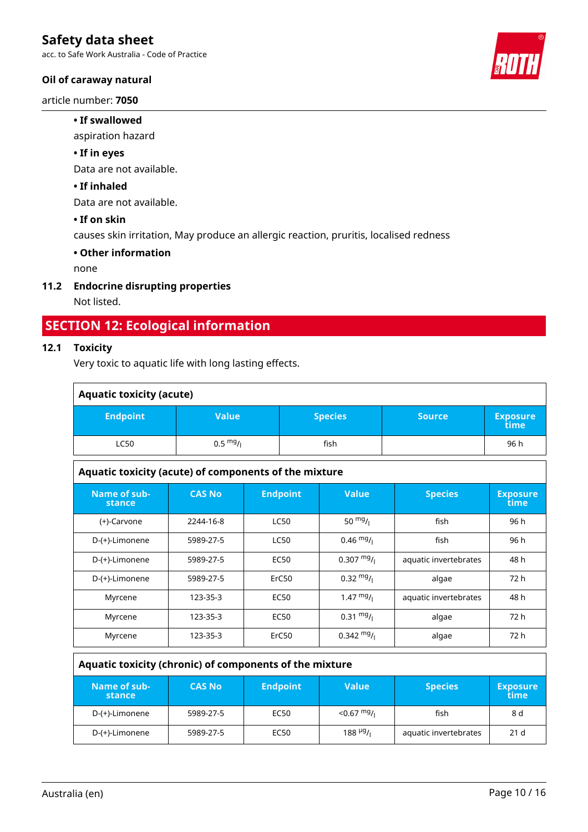acc. to Safe Work Australia - Code of Practice

### **Oil of caraway natural**

article number: **7050**

### **• If swallowed**

aspiration hazard

### **• If in eyes**

Data are not available.

### **• If inhaled**

Data are not available.

### **• If on skin**

causes skin irritation, May produce an allergic reaction, pruritis, localised redness

### **• Other information**

none

### **11.2 Endocrine disrupting properties**

Not listed.

## **SECTION 12: Ecological information**

### **12.1 Toxicity**

Very toxic to aquatic life with long lasting effects.

| <b>Aquatic toxicity (acute)</b>                       |                    |             |                 |                      |                       |                         |
|-------------------------------------------------------|--------------------|-------------|-----------------|----------------------|-----------------------|-------------------------|
| <b>Endpoint</b>                                       | <b>Value</b>       |             | <b>Species</b>  |                      | <b>Source</b>         | <b>Exposure</b><br>time |
| <b>LC50</b>                                           | $0.5 \frac{mg}{l}$ |             | fish            |                      |                       | 96 h                    |
| Aquatic toxicity (acute) of components of the mixture |                    |             |                 |                      |                       |                         |
| Name of sub-<br>stance                                | <b>CAS No</b>      |             | <b>Endpoint</b> | <b>Value</b>         | <b>Species</b>        | <b>Exposure</b><br>time |
| (+)-Carvone                                           | 2244-16-8          | <b>LC50</b> |                 | 50 $mg/1$            | fish                  | 96 h                    |
| D-(+)-Limonene                                        | 5989-27-5          |             | <b>LC50</b>     | $0.46 \frac{mg}{l}$  | fish                  | 96 h                    |
| D-(+)-Limonene                                        | 5989-27-5          | <b>EC50</b> |                 | $0.307 \frac{mg}{l}$ | aquatic invertebrates | 48 h                    |
| D-(+)-Limonene                                        | 5989-27-5          | ErC50       |                 | $0.32 \frac{mg}{l}$  | algae                 | 72 h                    |
| Myrcene                                               | $123 - 35 - 3$     | <b>EC50</b> |                 | 1.47 $mg/1$          | aquatic invertebrates | 48 h                    |
| Myrcene                                               | 123-35-3           | <b>EC50</b> |                 | $0.31 \frac{mg}{l}$  | algae                 | 72 h                    |
| Myrcene                                               | 123-35-3           |             | ErC50           | $0.342 \text{ mg}$ / | algae                 | 72 h                    |

### **Aquatic toxicity (chronic) of components of the mixture**

| Name of sub-<br>stance | <b>CAS No</b> | <b>Endpoint</b> | <b>Value</b>              | <b>Species</b>        | <b>Exposure</b><br>time |
|------------------------|---------------|-----------------|---------------------------|-----------------------|-------------------------|
| D-(+)-Limonene         | 5989-27-5     | <b>EC50</b>     | $<$ 0.67 mg/              | fish                  | 8 d                     |
| D-(+)-Limonene         | 5989-27-5     | <b>EC50</b>     | 188 $\mu$ g <sub>/1</sub> | aquatic invertebrates | 21 <sub>d</sub>         |

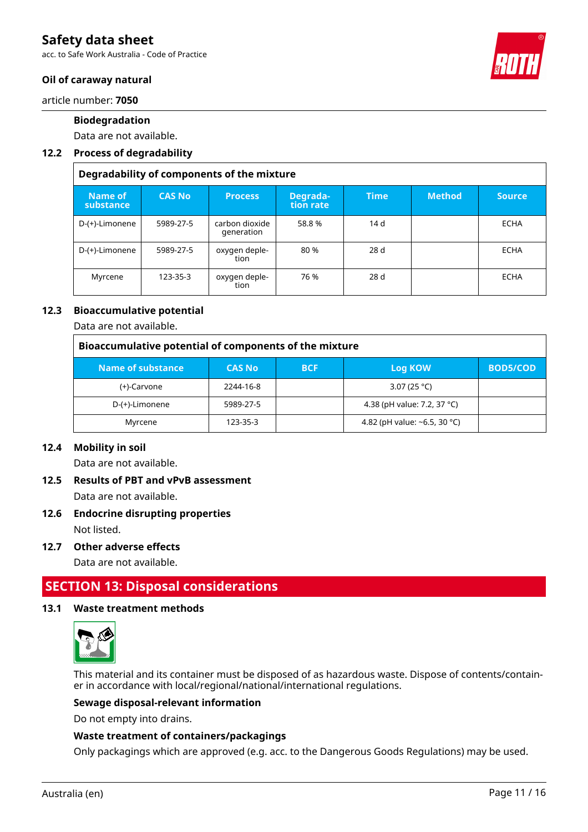acc. to Safe Work Australia - Code of Practice



### **Oil of caraway natural**

article number: **7050**

### **Biodegradation**

Data are not available.

### **12.2 Process of degradability**

|                      | Degradability of components of the mixture |                              |                       |             |               |               |
|----------------------|--------------------------------------------|------------------------------|-----------------------|-------------|---------------|---------------|
| Name of<br>substance | <b>CAS No</b>                              | <b>Process</b>               | Degrada-<br>tion rate | <b>Time</b> | <b>Method</b> | <b>Source</b> |
| D-(+)-Limonene       | 5989-27-5                                  | carbon dioxide<br>generation | 58.8%                 | 14 d        |               | <b>ECHA</b>   |
| D-(+)-Limonene       | 5989-27-5                                  | oxygen deple-<br>tion        | 80 %                  | 28d         |               | <b>ECHA</b>   |
| Myrcene              | 123-35-3                                   | oxygen deple-<br>tion        | 76 %                  | 28d         |               | <b>ECHA</b>   |

### **12.3 Bioaccumulative potential**

Data are not available.

| Bioaccumulative potential of components of the mixture |               |            |                                    |                 |  |
|--------------------------------------------------------|---------------|------------|------------------------------------|-----------------|--|
| Name of substance                                      | <b>CAS No</b> | <b>BCF</b> | Log KOW                            | <b>BOD5/COD</b> |  |
| (+)-Carvone                                            | 2244-16-8     |            | 3.07 (25 °C)                       |                 |  |
| D-(+)-Limonene                                         | 5989-27-5     |            | 4.38 (pH value: 7.2, 37 °C)        |                 |  |
| Myrcene                                                | 123-35-3      |            | 4.82 (pH value: $\sim$ 6.5, 30 °C) |                 |  |

### **12.4 Mobility in soil**

Data are not available.

## **12.5 Results of PBT and vPvB assessment**

Data are not available.

### **12.6 Endocrine disrupting properties**

Not listed.

### **12.7 Other adverse effects**

Data are not available.

## **SECTION 13: Disposal considerations**

### **13.1 Waste treatment methods**



This material and its container must be disposed of as hazardous waste. Dispose of contents/container in accordance with local/regional/national/international regulations.

### **Sewage disposal-relevant information**

Do not empty into drains.

### **Waste treatment of containers/packagings**

Only packagings which are approved (e.g. acc. to the Dangerous Goods Regulations) may be used.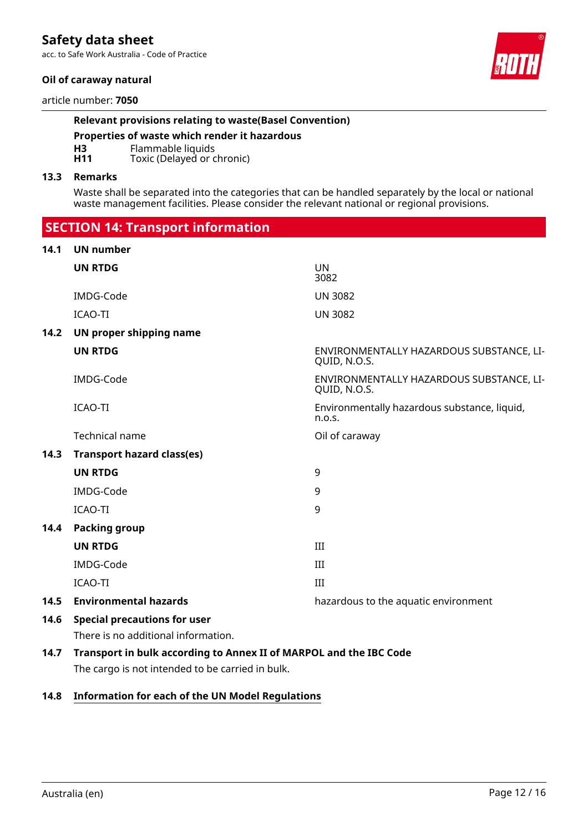acc. to Safe Work Australia - Code of Practice

### **Oil of caraway natural**

article number: **7050**

### **Relevant provisions relating to waste(Basel Convention)**

**Properties of waste which render it hazardous**

**H3** Flammable liquids<br>**H11** Toxic (Delayed or c

Toxic (Delayed or chronic)

#### **13.3 Remarks**

Waste shall be separated into the categories that can be handled separately by the local or national waste management facilities. Please consider the relevant national or regional provisions.

 **SECTION 14: Transport information 14.1 UN number UN RTDG** UN 3082 IMDG-Code UN 3082 ICAO-TI UN 3082 **14.2 UN proper shipping name UN RTDG** ENVIRONMENTALLY HAZARDOUS SUBSTANCE, LI-QUID, N.O.S. IMDG-Code ENVIRONMENTALLY HAZARDOUS SUBSTANCE, LI-QUID, N.O.S. ICAO-TI Environmentally hazardous substance, liquid, n.o.s. Technical name **Technical** name **Oil of caraway 14.3 Transport hazard class(es) UN RTDG** 9 IMDG-Code 9 ICAO-TI 9 **14.4 Packing group UN RTDG** III IMDG-Code III ICAO-TI III **14.5 Environmental hazards** hazardous to the aquatic environment **14.6 Special precautions for user** There is no additional information. **14.7 Transport in bulk according to Annex II of MARPOL and the IBC Code**

The cargo is not intended to be carried in bulk.

### **14.8 Information for each of the UN Model Regulations**

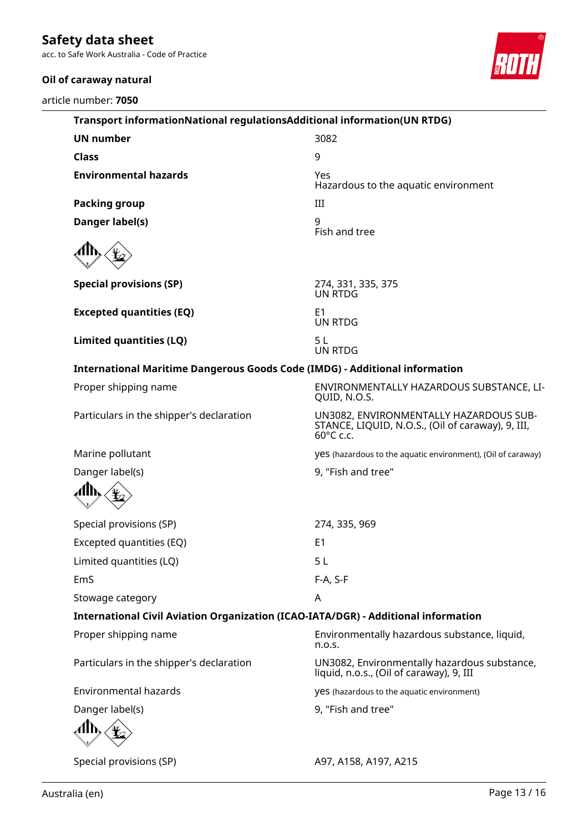acc. to Safe Work Australia - Code of Practice

### **Oil of caraway natural**

article number: **7050**



| Transport informationNational regulationsAdditional information(UN RTDG)           |                                                                                                          |
|------------------------------------------------------------------------------------|----------------------------------------------------------------------------------------------------------|
| <b>UN number</b>                                                                   | 3082                                                                                                     |
| <b>Class</b>                                                                       | 9                                                                                                        |
| <b>Environmental hazards</b>                                                       | Yes<br>Hazardous to the aquatic environment                                                              |
| <b>Packing group</b>                                                               | III                                                                                                      |
| Danger label(s)                                                                    | 9<br>Fish and tree                                                                                       |
|                                                                                    |                                                                                                          |
| <b>Special provisions (SP)</b>                                                     | 274, 331, 335, 375<br>UN RTDG                                                                            |
| <b>Excepted quantities (EQ)</b>                                                    | E <sub>1</sub><br><b>UN RTDG</b>                                                                         |
| Limited quantities (LQ)                                                            | 5L<br><b>UN RTDG</b>                                                                                     |
| <b>International Maritime Dangerous Goods Code (IMDG) - Additional information</b> |                                                                                                          |
| Proper shipping name                                                               | ENVIRONMENTALLY HAZARDOUS SUBSTANCE, LI-<br>QUID, N.O.S.                                                 |
| Particulars in the shipper's declaration                                           | UN3082, ENVIRONMENTALLY HAZARDOUS SUB-<br>STANCE, LIQUID, N.O.S., (Oil of caraway), 9, III,<br>60°C c.c. |
| Marine pollutant                                                                   | yes (hazardous to the aquatic environment), (Oil of caraway)                                             |
| Danger label(s)                                                                    | 9, "Fish and tree"                                                                                       |
|                                                                                    |                                                                                                          |
| Special provisions (SP)                                                            | 274, 335, 969                                                                                            |
| Excepted quantities (EQ)                                                           | E <sub>1</sub>                                                                                           |
| Limited quantities (LQ)                                                            | 5L                                                                                                       |
| EmS                                                                                | F-A, S-F                                                                                                 |
| Stowage category                                                                   | A                                                                                                        |
| International Civil Aviation Organization (ICAO-IATA/DGR) - Additional information |                                                                                                          |
| Proper shipping name                                                               | Environmentally hazardous substance, liquid,<br>n.o.s.                                                   |
| Particulars in the shipper's declaration                                           | UN3082, Environmentally hazardous substance,<br>liquid, n.o.s., (Oil of caraway), 9, III                 |
| <b>Environmental hazards</b>                                                       | yes (hazardous to the aquatic environment)                                                               |
| Danger label(s)                                                                    | 9, "Fish and tree"                                                                                       |
|                                                                                    |                                                                                                          |
| Special provisions (SP)                                                            | A97, A158, A197, A215                                                                                    |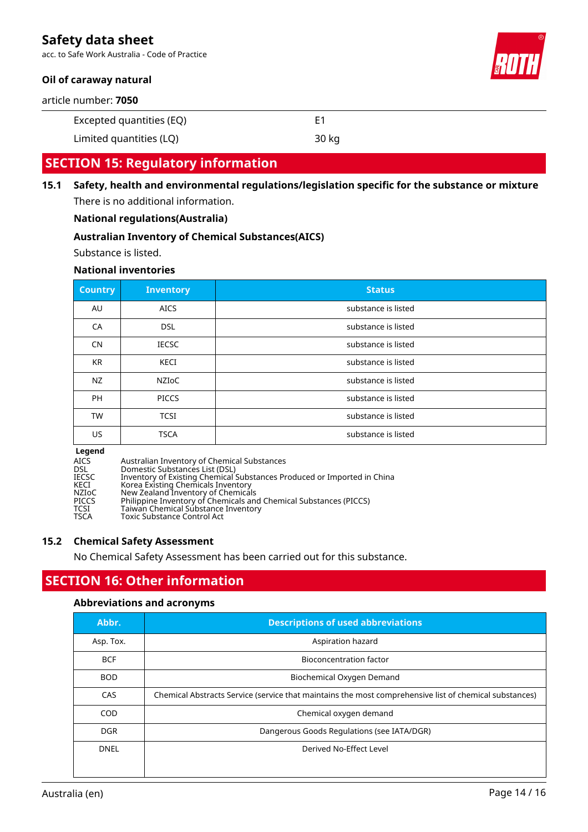acc. to Safe Work Australia - Code of Practice

### **Oil of caraway natural**

article number: **7050**

Excepted quantities (EQ) E1

Limited quantities (LQ) 30 kg

### **SECTION 15: Regulatory information**

**15.1 Safety, health and environmental regulations/legislation specific for the substance or mixture** There is no additional information.

### **National regulations(Australia)**

### **Australian Inventory of Chemical Substances(AICS)**

Substance is listed.

### **National inventories**

| <b>Country</b> | <b>Inventory</b> | <b>Status</b>       |
|----------------|------------------|---------------------|
| AU             | <b>AICS</b>      | substance is listed |
| CA             | <b>DSL</b>       | substance is listed |
| <b>CN</b>      | <b>IECSC</b>     | substance is listed |
| <b>KR</b>      | KECI             | substance is listed |
| <b>NZ</b>      | NZIoC            | substance is listed |
| <b>PH</b>      | <b>PICCS</b>     | substance is listed |
| <b>TW</b>      | <b>TCSI</b>      | substance is listed |
| US             | <b>TSCA</b>      | substance is listed |

# **Legend**

- AICS Australian Inventory of Chemical Substances<br>
DSL Domestic Substances List (DSL)
- DSL Domestic Substances List (DSL)<br>IECSC Inventory of Existing Chemical
- IECSC Inventory of Existing Chemical Substances Produced or Imported in China
- KECI Korea Existing Chemicals Inventory
- NZIoC New Zealand Inventory of Chemicals PICCS Philippine Inventory of Chemicals and Chemical Substances (PICCS)
- TCSI Taiwan Chemical Substance Inventory
- TSCA Toxic Substance Control Act

### **15.2 Chemical Safety Assessment**

No Chemical Safety Assessment has been carried out for this substance.

## **SECTION 16: Other information**

### **Abbreviations and acronyms**

| Abbr.      | <b>Descriptions of used abbreviations</b>                                                              |  |
|------------|--------------------------------------------------------------------------------------------------------|--|
| Asp. Tox.  | Aspiration hazard                                                                                      |  |
| <b>BCF</b> | <b>Bioconcentration factor</b>                                                                         |  |
| BOD.       | Biochemical Oxygen Demand                                                                              |  |
| CAS        | Chemical Abstracts Service (service that maintains the most comprehensive list of chemical substances) |  |
| COD        | Chemical oxygen demand                                                                                 |  |
| <b>DGR</b> | Dangerous Goods Regulations (see IATA/DGR)                                                             |  |
| DNEL       | Derived No-Effect Level                                                                                |  |
|            |                                                                                                        |  |

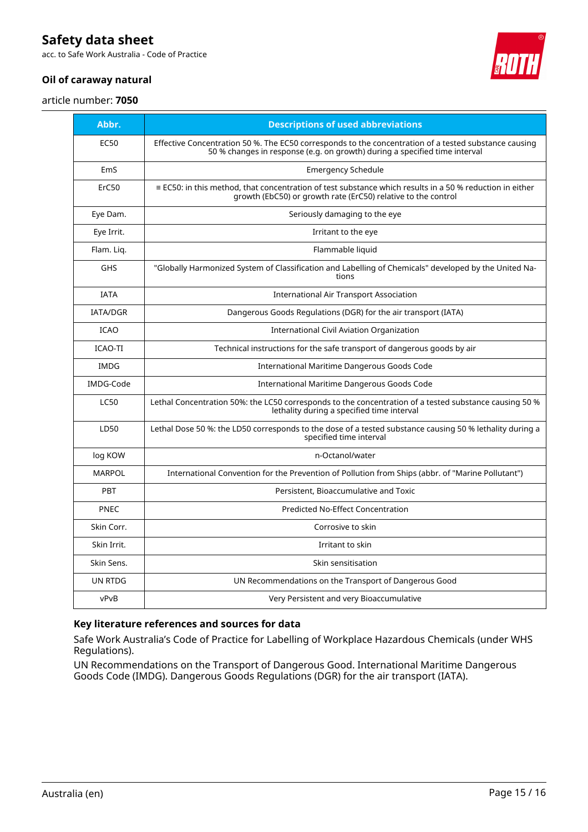acc. to Safe Work Australia - Code of Practice

### **Oil of caraway natural**

article number: **7050**

| Abbr.           | <b>Descriptions of used abbreviations</b>                                                                                                                                           |
|-----------------|-------------------------------------------------------------------------------------------------------------------------------------------------------------------------------------|
| <b>EC50</b>     | Effective Concentration 50 %. The EC50 corresponds to the concentration of a tested substance causing<br>50 % changes in response (e.g. on growth) during a specified time interval |
| EmS             | <b>Emergency Schedule</b>                                                                                                                                                           |
| ErC50           | $\equiv$ EC50: in this method, that concentration of test substance which results in a 50 % reduction in either<br>growth (EbC50) or growth rate (ErC50) relative to the control    |
| Eye Dam.        | Seriously damaging to the eye                                                                                                                                                       |
| Eye Irrit.      | Irritant to the eye                                                                                                                                                                 |
| Flam. Lig.      | Flammable liquid                                                                                                                                                                    |
| <b>GHS</b>      | "Globally Harmonized System of Classification and Labelling of Chemicals" developed by the United Na-<br>tions                                                                      |
| <b>IATA</b>     | <b>International Air Transport Association</b>                                                                                                                                      |
| <b>IATA/DGR</b> | Dangerous Goods Regulations (DGR) for the air transport (IATA)                                                                                                                      |
| <b>ICAO</b>     | International Civil Aviation Organization                                                                                                                                           |
| <b>ICAO-TI</b>  | Technical instructions for the safe transport of dangerous goods by air                                                                                                             |
| <b>IMDG</b>     | <b>International Maritime Dangerous Goods Code</b>                                                                                                                                  |
| IMDG-Code       | International Maritime Dangerous Goods Code                                                                                                                                         |
| <b>LC50</b>     | Lethal Concentration 50%: the LC50 corresponds to the concentration of a tested substance causing 50 %<br>lethality during a specified time interval                                |
| LD50            | Lethal Dose 50 %: the LD50 corresponds to the dose of a tested substance causing 50 % lethality during a<br>specified time interval                                                 |
| log KOW         | n-Octanol/water                                                                                                                                                                     |
| <b>MARPOL</b>   | International Convention for the Prevention of Pollution from Ships (abbr. of "Marine Pollutant")                                                                                   |
| PBT             | Persistent, Bioaccumulative and Toxic                                                                                                                                               |
| <b>PNEC</b>     | <b>Predicted No-Effect Concentration</b>                                                                                                                                            |
| Skin Corr.      | Corrosive to skin                                                                                                                                                                   |
| Skin Irrit.     | Irritant to skin                                                                                                                                                                    |
| Skin Sens.      | Skin sensitisation                                                                                                                                                                  |
| UN RTDG         | UN Recommendations on the Transport of Dangerous Good                                                                                                                               |
| vPvB            | Very Persistent and very Bioaccumulative                                                                                                                                            |

### **Key literature references and sources for data**

Safe Work Australia's Code of Practice for Labelling of Workplace Hazardous Chemicals (under WHS Regulations).

UN Recommendations on the Transport of Dangerous Good. International Maritime Dangerous Goods Code (IMDG). Dangerous Goods Regulations (DGR) for the air transport (IATA).